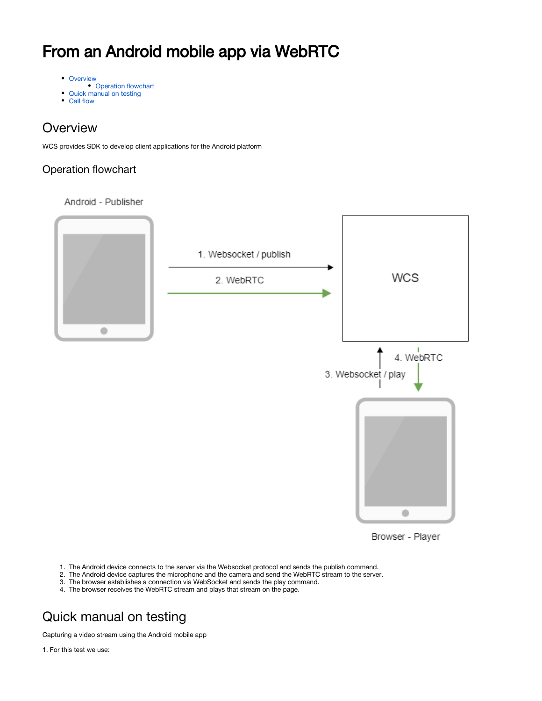# From an Android mobile app via WebRTC

- [Overview](#page-0-0)
- [Operation flowchart](#page-0-1) • [Quick manual on testing](#page-0-2)
- [Call flow](#page-3-0)
- 

### <span id="page-0-0"></span>**Overview**

WCS provides SDK to develop client applications for the Android platform

### <span id="page-0-1"></span>Operation flowchart

Android - Publisher



Browser - Player

- 1. The Android device connects to the server via the Websocket protocol and sends the publish command.
- 2. The Android device captures the microphone and the camera and send the WebRTC stream to the server.
- 3. The browser establishes a connection via WebSocket and sends the play command.
- 4. The browser receives the WebRTC stream and plays that stream on the page.

## <span id="page-0-2"></span>Quick manual on testing

Capturing a video stream using the Android mobile app

1. For this test we use: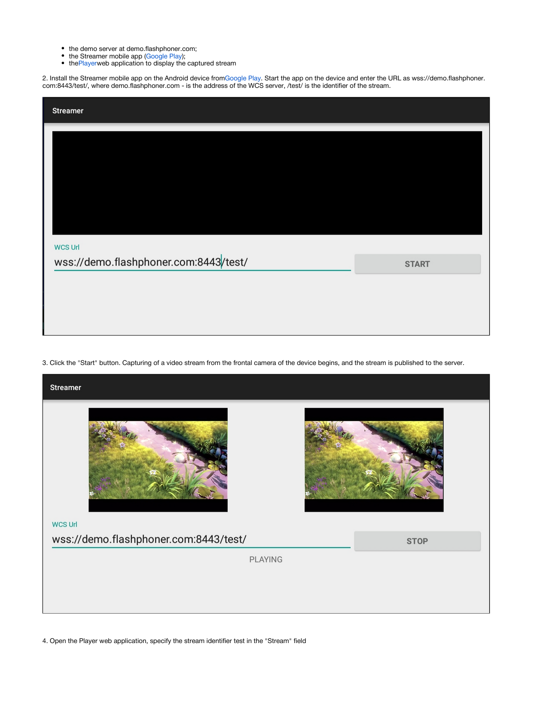- the demo server at demo.flashphoner.com;
- $\bullet$ the Streamer mobile app ([Google Play\)](https://play.google.com/store/apps/details?id=com.flashphoner.wcsexample.streamer);
- $\bullet$ the[Player](https://demo.flashphoner.com/client2/examples/demo/streaming/player/player.html)web application to display the captured stream

2. Install the Streamer mobile app on the Android device fro[mGoogle Play.](https://play.google.com/store/apps/details?id=com.flashphoner.wcsexample.streamer) Start the app on the device and enter the URL as wss://demo.flashphoner. com:8443/test/, where demo.flashphoner.com - is the address of the WCS server, /test/ is the identifier of the stream.

| <b>Streamer</b>                       |              |
|---------------------------------------|--------------|
|                                       |              |
|                                       |              |
|                                       |              |
|                                       |              |
|                                       |              |
| <b>WCS Url</b>                        |              |
| wss://demo.flashphoner.com:8443/test/ | <b>START</b> |
|                                       |              |
|                                       |              |
|                                       |              |

3. Click the "Start" button. Capturing of a video stream from the frontal camera of the device begins, and the stream is published to the server.



4. Open the Player web application, specify the stream identifier test in the "Stream" field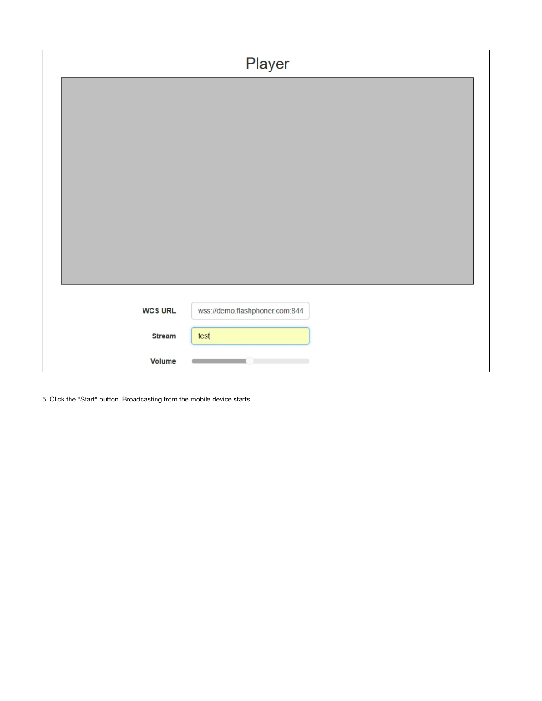|                | Player                         |  |
|----------------|--------------------------------|--|
|                |                                |  |
|                |                                |  |
|                |                                |  |
|                |                                |  |
|                |                                |  |
|                |                                |  |
|                |                                |  |
|                |                                |  |
|                |                                |  |
| <b>WCS URL</b> | wss://demo.flashphoner.com:844 |  |
| <b>Stream</b>  | test                           |  |
| Volume         |                                |  |

5. Click the "Start" button. Broadcasting from the mobile device starts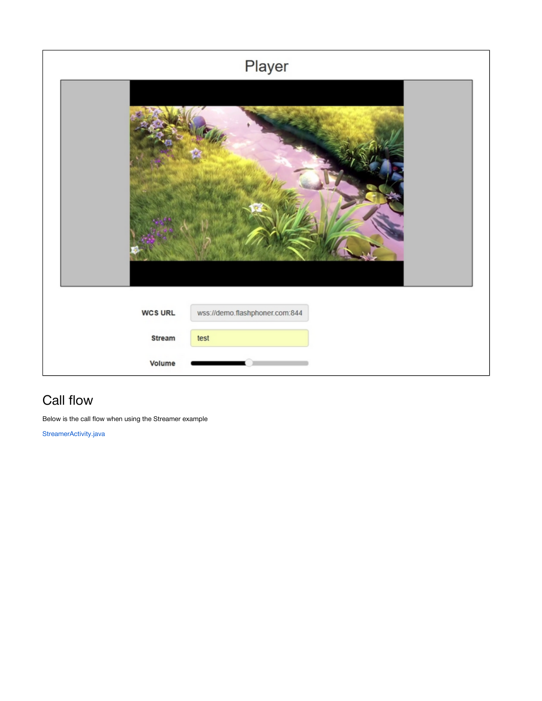

### <span id="page-3-0"></span>Call flow

Below is the call flow when using the Streamer example

[StreamerActivity.java](https://github.com/flashphoner/wcs-android-sdk-samples/blob/master/streamer/src/main/java/com/flashphoner/wcsexample/streamer/StreamerActivity.java)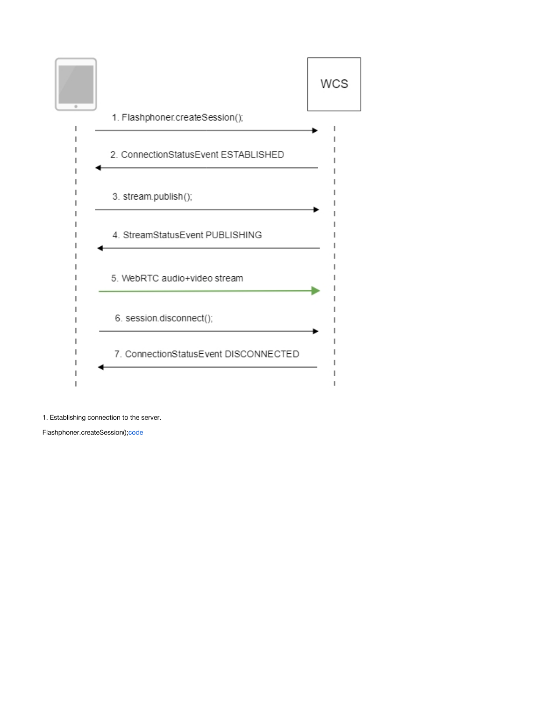

1. Establishing connection to the server.

Flashphoner.createSession()[;code](https://github.com/flashphoner/wcs-android-sdk-samples/blob/b3412c24c05fdbad85ba724b4f89ff2dfcbb8f71/streamer/src/main/java/com/flashphoner/wcsexample/streamer/StreamerActivity.java#L89)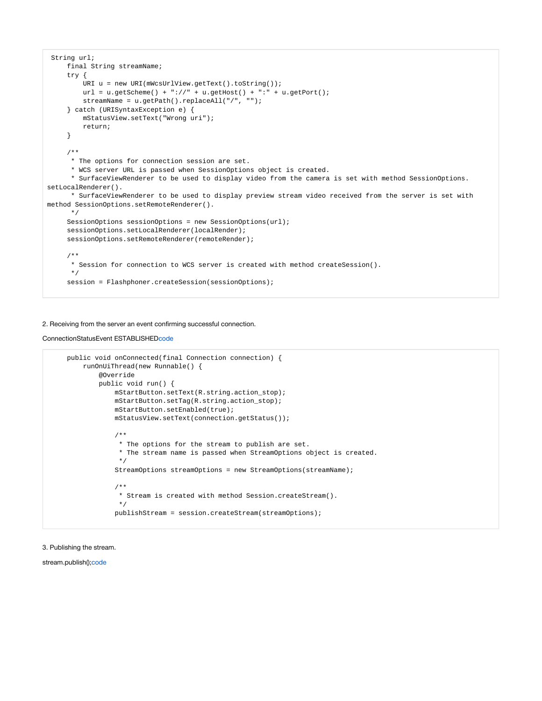```
 String url;
     final String streamName;
      try {
         URI u = new URI(mWcsUrlView.getText().toString());
        url = u.getScheme() + "://" + u.getHost() + ":" + u.getPort();
         streamName = u.getPath().replaceAll("/", "");
      } catch (URISyntaxException e) {
         mStatusView.setText("Wrong uri");
         return;
      }
      /**
      * The options for connection session are set.
      * WCS server URL is passed when SessionOptions object is created.
       * SurfaceViewRenderer to be used to display video from the camera is set with method SessionOptions.
setLocalRenderer().
       * SurfaceViewRenderer to be used to display preview stream video received from the server is set with 
method SessionOptions.setRemoteRenderer().
      */
     SessionOptions sessionOptions = new SessionOptions(url);
     sessionOptions.setLocalRenderer(localRender);
     sessionOptions.setRemoteRenderer(remoteRender);
      /**
      * Session for connection to WCS server is created with method createSession().
      */
     session = Flashphoner.createSession(sessionOptions);
```
#### 2. Receiving from the server an event confirming successful connection.

#### ConnectionStatusEvent ESTABLISHE[Dcode](https://github.com/flashphoner/wcs-android-sdk-samples/blob/b3412c24c05fdbad85ba724b4f89ff2dfcbb8f71/streamer/src/main/java/com/flashphoner/wcsexample/streamer/StreamerActivity.java#L125)

```
 public void onConnected(final Connection connection) {
         runOnUiThread(new Runnable() {
             @Override
             public void run() {
                 mStartButton.setText(R.string.action_stop);
                 mStartButton.setTag(R.string.action_stop);
                 mStartButton.setEnabled(true);
                 mStatusView.setText(connection.getStatus());
                 /**
                  * The options for the stream to publish are set.
                  * The stream name is passed when StreamOptions object is created.
\star/
                 StreamOptions streamOptions = new StreamOptions(streamName);
                 /**
                  * Stream is created with method Session.createStream().
\star/
                 publishStream = session.createStream(streamOptions);
```
#### 3. Publishing the stream.

stream.publish()[;code](https://github.com/flashphoner/wcs-android-sdk-samples/blob/b3412c24c05fdbad85ba724b4f89ff2dfcbb8f71/streamer/src/main/java/com/flashphoner/wcsexample/streamer/StreamerActivity.java#L271)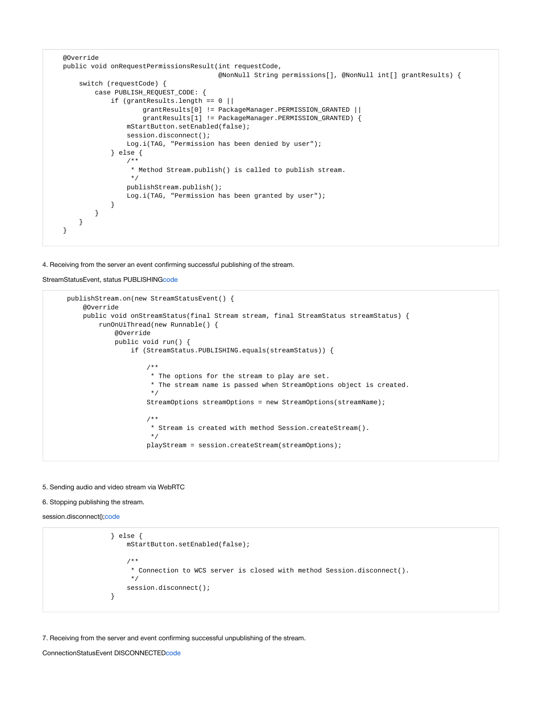```
 @Override
    public void onRequestPermissionsResult(int requestCode,
                                          @NonNull String permissions[], @NonNull int[] grantResults) {
        switch (requestCode) {
            case PUBLISH_REQUEST_CODE: {
                if (grantResults.length == 0 ||
                        grantResults[0] != PackageManager.PERMISSION_GRANTED ||
                        grantResults[1] != PackageManager.PERMISSION_GRANTED) {
                    mStartButton.setEnabled(false);
                   session.disconnect();
                    Log.i(TAG, "Permission has been denied by user");
                } else {
                    /**
                     * Method Stream.publish() is called to publish stream.
\star/ publishStream.publish();
                    Log.i(TAG, "Permission has been granted by user");
 }
           }
        }
    }
```
#### 4. Receiving from the server an event confirming successful publishing of the stream.

```
StreamStatusEvent, status PUBLISHINGcode
```

```
 publishStream.on(new StreamStatusEvent() {
        @Override
        public void onStreamStatus(final Stream stream, final StreamStatus streamStatus) {
           runOnUiThread(new Runnable() {
               @Override
               public void run() {
                   if (StreamStatus.PUBLISHING.equals(streamStatus)) {
 /**
                       * The options for the stream to play are set.
                       * The stream name is passed when StreamOptions object is created.
*/
                      StreamOptions streamOptions = new StreamOptions(streamName);
 /**
                       * Stream is created with method Session.createStream().
*/
                      playStream = session.createStream(streamOptions);
```
#### 5. Sending audio and video stream via WebRTC

#### 6. Stopping publishing the stream.

```
;code
```

```
 } else {
                mStartButton.setEnabled(false);
 /**
                * Connection to WCS server is closed with method Session.disconnect().
\star/ session.disconnect();
 }
```
#### 7. Receiving from the server and event confirming successful unpublishing of the stream.

```
ConnectionStatusEvent DISCONNECTEDcode
```